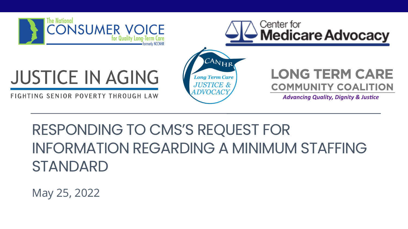



# **JUSTICE IN AGING**

FIGHTING SENIOR POVERTY THROUGH LAW



## **LONG TERM CARE COMMUNITY COALITION**

**Advancing Quality, Dignity & Justice** 

# RESPONDING TO CMS'S REQUEST FOR INFORMATION REGARDING A MINIMUM STAFFING STANDARD

May 25, 2022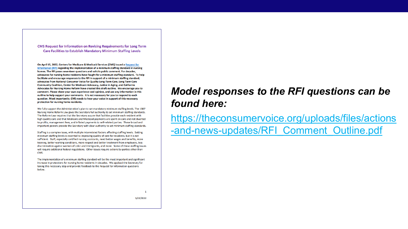**CMS Request for Information on Revising Requirements for Long Term Care Facilities to Establish Mandatory Minimum Staffing Levels** 

On April 15, 2022, Centers for Medicare & Medicaid Services (CMS) issued a Request for Information (RFI) regarding the implementation of a minimum staffing standard in nursing homes. The RFI poses seventeen questions and solicits public comment. For decades, advocates for nursing home residents have fought for a minimum staffing standard. To help facilitate and encourage responses to the RFI in support of a minimum staffing standard, advocates from National Consumer Voice for Quality Long-Term Care, Long Term Care Community Coalition, Center for Medicare Advocacy, Justice in Aging, and California Advocates for Nursing Home Reform have created this draft outline. We encourage you to comment. Please share your own experience and opinion, and use any information in this outline to help support your comments. It is not necessary for you to respond to each question. Most importantly, CMS needs to hear your voice in support of this necessary protection for nursing home residents.

We fully support the Administration's plan to set mandatory minimum staffing levels. The 1987 Nursing Home Reform Law gives the Secretary full authority to set minimum staffing standards. The Reform Law requires that the Secretary assure that facilities provide each resident with high quality care and that Medicare and Medicaid payments are spent on care and not diverted to profits, management fees, and inflated payments to self-related parties. These broad and important powers provide the Secretary with clear authority to set minimum staffing standards.

Staffing is a complex issue, with multiple interrelated factors affecting staffing levels. Setting minimum staffing levels is essential to improving quality of care for residents, but it is not sufficient. Staff, especially certified nursing assistants, need better wages and benefits, more training, better working conditions, more respect and better treatment from employers, less discrimination against women of color and immigrants, and more. Some of these staffing issues will require additional federal regulations. Other issues require actions by parties other than CMS.

The implementation of a minimum staffing standard will be the most important and significant increase in protections for nursing home residents in decades. We applaud the Secretary for taking this necessary step and provide feedback to the Request for Information questions below.

## *Model responses to the RFI questions can be found here:*

[https://theconsumervoice.org/uploads/files/actions](https://theconsumervoice.org/uploads/files/actions-and-news-updates/RFI_Comment_Outline.pdf) -and-news-updates/RFI\_Comment\_Outline.pdf

5/25/2022

 $\mathbf{1}$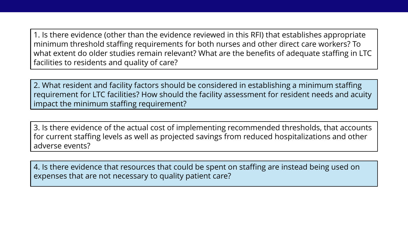1. Is there evidence (other than the evidence reviewed in this RFI) that establishes appropriate minimum threshold staffing requirements for both nurses and other direct care workers? To what extent do older studies remain relevant? What are the benefits of adequate staffing in LTC facilities to residents and quality of care?

2. What resident and facility factors should be considered in establishing a minimum staffing requirement for LTC facilities? How should the facility assessment for resident needs and acuity impact the minimum staffing requirement?

3. Is there evidence of the actual cost of implementing recommended thresholds, that accounts for current staffing levels as well as projected savings from reduced hospitalizations and other adverse events?

4. Is there evidence that resources that could be spent on staffing are instead being used on expenses that are not necessary to quality patient care?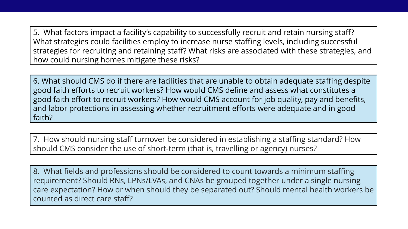5. What factors impact a facility's capability to successfully recruit and retain nursing staff? What strategies could facilities employ to increase nurse staffing levels, including successful strategies for recruiting and retaining staff? What risks are associated with these strategies, and how could nursing homes mitigate these risks?

6. What should CMS do if there are facilities that are unable to obtain adequate staffing despite good faith efforts to recruit workers? How would CMS define and assess what constitutes a good faith effort to recruit workers? How would CMS account for job quality, pay and benefits, and labor protections in assessing whether recruitment efforts were adequate and in good faith?

7. How should nursing staff turnover be considered in establishing a staffing standard? How should CMS consider the use of short-term (that is, travelling or agency) nurses?

8. What fields and professions should be considered to count towards a minimum staffing requirement? Should RNs, LPNs/LVAs, and CNAs be grouped together under a single nursing care expectation? How or when should they be separated out? Should mental health workers be counted as direct care staff?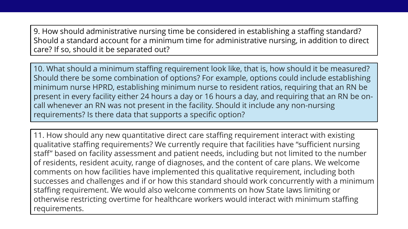9. How should administrative nursing time be considered in establishing a staffing standard? Should a standard account for a minimum time for administrative nursing, in addition to direct care? If so, should it be separated out?

10. What should a minimum staffing requirement look like, that is, how should it be measured? Should there be some combination of options? For example, options could include establishing minimum nurse HPRD, establishing minimum nurse to resident ratios, requiring that an RN be present in every facility either 24 hours a day or 16 hours a day, and requiring that an RN be oncall whenever an RN was not present in the facility. Should it include any non-nursing requirements? Is there data that supports a specific option?

11. How should any new quantitative direct care staffing requirement interact with existing qualitative staffing requirements? We currently require that facilities have "sufficient nursing staff" based on facility assessment and patient needs, including but not limited to the number of residents, resident acuity, range of diagnoses, and the content of care plans. We welcome comments on how facilities have implemented this qualitative requirement, including both successes and challenges and if or how this standard should work concurrently with a minimum staffing requirement. We would also welcome comments on how State laws limiting or otherwise restricting overtime for healthcare workers would interact with minimum staffing requirements.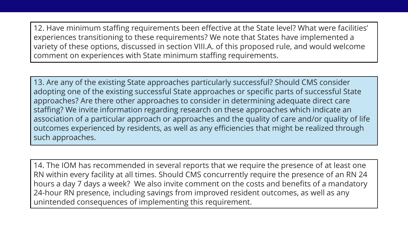12. Have minimum staffing requirements been effective at the State level? What were facilities' experiences transitioning to these requirements? We note that States have implemented a variety of these options, discussed in section VIII.A. of this proposed rule, and would welcome comment on experiences with State minimum staffing requirements.

13. Are any of the existing State approaches particularly successful? Should CMS consider adopting one of the existing successful State approaches or specific parts of successful State approaches? Are there other approaches to consider in determining adequate direct care staffing? We invite information regarding research on these approaches which indicate an association of a particular approach or approaches and the quality of care and/or quality of life outcomes experienced by residents, as well as any efficiencies that might be realized through such approaches.

14. The IOM has recommended in several reports that we require the presence of at least one RN within every facility at all times. Should CMS concurrently require the presence of an RN 24 hours a day 7 days a week? We also invite comment on the costs and benefits of a mandatory 24-hour RN presence, including savings from improved resident outcomes, as well as any unintended consequences of implementing this requirement.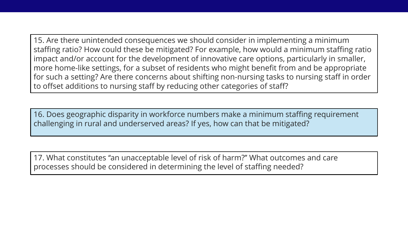15. Are there unintended consequences we should consider in implementing a minimum staffing ratio? How could these be mitigated? For example, how would a minimum staffing ratio impact and/or account for the development of innovative care options, particularly in smaller, more home-like settings, for a subset of residents who might benefit from and be appropriate for such a setting? Are there concerns about shifting non-nursing tasks to nursing staff in order to offset additions to nursing staff by reducing other categories of staff?

16. Does geographic disparity in workforce numbers make a minimum staffing requirement challenging in rural and underserved areas? If yes, how can that be mitigated?

17. What constitutes ''an unacceptable level of risk of harm?'' What outcomes and care processes should be considered in determining the level of staffing needed?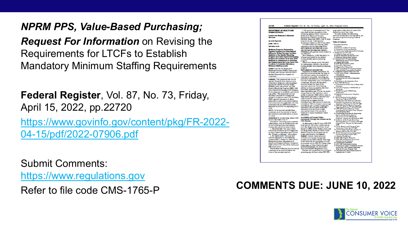#### *NPRM PPS, Value-Based Purchasing;*

*Request For Information* on Revising the Requirements for LTCFs to Establish Mandatory Minimum Staffing Requirements

**Federal Register**, Vol. 87, No. 73, Friday, April 15, 2022, pp.22720 [https://www.govinfo.gov/content/pkg/FR-2022-](https://www.govinfo.gov/content/pkg/FR-2022-04-15/pdf/2022-07906.pdf) 04-15/pdf/2022-07906.pdf

Submit Comments: [https://www.regulations.gov](https://www.regulations.gov/)

Refer to file code CMS-1765-P **COMMENTS DUE: JUNE 10, 2022**

| <b>DEPARTMENT OF HEALTH AND</b><br><b>HUMAN SERVICES</b>                                 | 3. By express or overnight mail. You<br>may send written comments to the      | wage index tables should contact Kia<br>Burwell at (410) 786-7816.                |
|------------------------------------------------------------------------------------------|-------------------------------------------------------------------------------|-----------------------------------------------------------------------------------|
|                                                                                          | following address ONLY: Centers for                                           | To assist readers in referencing                                                  |
| <b>Centers for Medicare &amp; Medicaid</b>                                               | <b>Medicare &amp; Medicaid Services,</b>                                      | sections contained in this document, we                                           |
| <b>Services</b>                                                                          | <b>Department of Health and Human</b>                                         | are providing the following Table of                                              |
|                                                                                          | Services, Attention: CMS-1765-P, Mail                                         | <b>Contents</b>                                                                   |
| <b>42 CFR Part 413</b>                                                                   | Stop C4-26-05, 7500 Security<br>Boulevard, Baltimore, MD 21244-1850.          | <b>Table of Contents</b>                                                          |
| [CMS-1765-P]                                                                             | For information on viewing public                                             | <b>I. Exocutivo Summary</b>                                                       |
| <b>RIN 0938-AU76</b>                                                                     | comments, see the beginning of the                                            | A. Purposa                                                                        |
|                                                                                          | <b>SUPPLEMENTARY INFORMATION section.</b>                                     | <b>B. Summary of Major Provisions</b>                                             |
| <b>Medicare Program; Prospective</b>                                                     | FOR FURTHER INFORMATION CONTACT:                                              | C. Summary of Cost and Bonofits<br>D. Advancing Hoalth Information Exchange       |
| <b>Payment System and Consolidated</b><br><b>Billing for Skilled Nursing Facilities;</b> | PDPM@cms.hhs.gov for issues related to                                        | II. Background on SNF PPS                                                         |
| <b>Updates to the Quality Reporting</b>                                                  | the SNF PPS                                                                   | A. Statutory Basis and Scope<br>B. Initial Transition for the SNF PPS             |
| <b>Program and Value-Based Purchasing</b>                                                | Heidi Magladry, (410) 786-6034, for<br>information related to the skilled     | C. Required Annual Rate Updates                                                   |
| <b>Program for Federal Fiscal Year 2023;</b>                                             | nursing facility quality reporting                                            | III. Proposad SNF PPS Rato Sotting                                                |
| <b>Request for Information on Revising</b>                                               | program.                                                                      | Mothodology and FY 2023 Update                                                    |
| the Requirements for Long-Term Care                                                      | Alexandre Laberge, (410) 786-8625,                                            | A. Federal Base Rates                                                             |
| <b>Facilities To Establish Mandatory</b>                                                 | for information related to the skilled                                        | <b>B. SNF Markot Baskot Updato</b><br>C. Caso-Mix Adjustment                      |
| <b>Minimum Staffing Levels</b>                                                           | nursing facility value-based purchasing                                       | D. Wage Index Adjustment                                                          |
| <b>AGENCY: Centers for Medicare &amp;</b>                                                | program.<br><b>SUPPLEMENTARY INFORMATION:</b>                                 | <b>E. SNF Valuo-Basod Purchasing Program</b>                                      |
| Medicaid Services (CMS), Department                                                      | <b>Inspection of Public Comments: All</b>                                     | F. Adjusted Rate Computation Example<br>IV. Additional Aspects of the SNF PPS     |
| of Health and Human Services (HHS).                                                      | comments received before the close of                                         | A. SNF Lovel of Caro-Administrative                                               |
| <b>ACTION:</b> Proposed rule; request for<br>comments.                                   | the comment period are available for                                          | Prosumption                                                                       |
|                                                                                          | viewing by the public, including any                                          | <b>B.</b> Consolidated Billing<br>C. Paymont for SNF-Lovol Swing-Bod              |
| SUMMARY: This proposed rule would                                                        | personally identifiable or confidential                                       | <b>Services</b>                                                                   |
| update: Payment rates; forecast error                                                    | business information that is included in                                      | D. Ravisions to the Regulation Text                                               |
| adjustment; diagnosis code mappings;                                                     | a comment. We post all comments<br>received before the close of the           | <b>V. Other SNF PPS Issues</b><br>A. Proposed Permanent Cap on Wage Index         |
| the Patient Driven Payment Model                                                         | comment period on the following                                               | Docroasos                                                                         |
| (PDPM) parity adjustment, the SNF<br><b>Quality Reporting Program (QRP), SNF</b>         | website as soon as possible after they                                        | <b>B. Technical Updates to PDPM ICD-10</b>                                        |
| Value-Based Purchasing (VBP) Program.                                                    | have been received: https://                                                  | <b>Mappings</b>                                                                   |
| It also proposes to establish a permanent                                                | www.regulations.gov. Follow the search                                        | C. Rocalibrating the PDPM Parity<br>Adjustment                                    |
| cap policy. This proposed rule also                                                      | instructions on that website to view<br>public comments. CMS will not post on | D. Request for Information: Infection                                             |
| includes a request for information                                                       | Regulations.gov public comments that                                          | Isolation                                                                         |
| related to long-term care (LTC) facilities.                                              | make threats to individuals or                                                | <b>VI. Skillod Nursing Facility Quality</b>                                       |
| CMS requests comments on these<br>proposals as well as on related subjects               | institutions or suggest that the                                              | Reporting Program (SNF QRP)<br>A. Background and Statutory Authority              |
| and announces the application of a risk                                                  | individual will take actions to harm the                                      | <b>B.</b> General Considerations Used for the                                     |
| adjustment for the SNF Readmission                                                       | individual. CMS continues to encourage                                        | Soloction of Moasuros for the SNF QRP                                             |
| Measure for COVID-19 beginning in FY                                                     | individuals not to submit duplicative                                         | <b>C. SNF QRP Quality Measure Proposals</b><br>Boginning With the FY 2025 SNF QRP |
| 2023.                                                                                    | comments. We will post acceptable<br>comments from multiple unique            | <b>D. SNF QRF Quality Measures Under</b>                                          |
| <b>DATES:</b> To be assured consideration.                                               | commenters even if the content is                                             | <b>Consideration for Future Years: Request</b>                                    |
| comments must be received at one of                                                      | identical or nearly identical to other                                        | for Information (RFI)<br><b>E. Overarching Principles for Measuring</b>           |
| the addresses provided below, by June<br>10, 2022.                                       | comments.                                                                     | <b>Equity and Hoalthcare Quality</b>                                              |
|                                                                                          | <b>Availability of Certain Tables</b>                                         | Disparitios Across CMS Quality                                                    |
| ADDRESSES: In commenting, please refer<br>to file code CMS-1765-P.                       | <b>Exclusively Through the Internet on the</b>                                | Programs-Request for Information (RFI)<br>F. Inclusion of the CoreQ: Short Stay   |
| Comments, including mass comment                                                         | <b>CMS Website</b>                                                            | Dischargo Moasuro in a Futuro SNF QRP                                             |
| submissions, must be submitted in one                                                    | As discussed in the FY 2014 SNF PPS                                           | Program Year-Request for Information                                              |
| of the following three ways (please                                                      | final rule (78 FR 47936), tables setting                                      | (RFT)                                                                             |
| choose only one of the ways listed):                                                     | forth the Wage Index for Urban Areas                                          | G. Form, Manner, and Timing of Data<br><b>Submission Under the SNF ORP</b>        |
| 1. Electronically. You may submit                                                        | <b>Based on CBSA Labor Market Areas and</b>                                   | H. Policios Rogarding Public Display of                                           |
| electronic comments on this regulation                                                   | the Wage Index Based on CBSA Labor                                            | Moasuro Data for the SNF QRP                                                      |
| to https://www.regulations.gov. Follow<br>the "Submit a comment" instructions.           | Market Areas for Rural Areas are no<br>longer published in the Federal        | VII. Skilled Nursing Facility Value-Based                                         |
| 2. By regular mail. You may mail                                                         | Register, Instead, these tables are                                           | Purchasing Program (SNF VBP)<br>A. Statutory Background                           |
| written comments to the following                                                        | available exclusively through the                                             | <b>B. SNF VBP Program Maasures</b>                                                |
| address ONLY: Centers for Medicare &                                                     | internet on the CMS website. The wage                                         | C. SNF VBP Porformanco Poriod and                                                 |
| <b>Medicaid Services, Department of</b>                                                  | index tables for this proposed rule can                                       | <b>Basolino Period Proposals</b><br>D. Porformanco Standards                      |
| Health and Human Services, Attention:                                                    | be accessed on the SNF PPS Wage Index                                         | <b>E. SNF VBP Performance Scoring</b>                                             |
| CMS-1765-P, P.O. Box 8016, Baltimore,                                                    | home page, at https://www.cms.gov/                                            | F. Proposal To Adopt a Validation Process                                         |
| MD 21244-8016.                                                                           | Medicare/Medicare-Fee-for-Service-                                            | for the SNF VBP Program Beginning                                                 |
|                                                                                          |                                                                               |                                                                                   |
| Please allow sufficient time for mailed<br>comments to be received before the            | Payment/SNFPPS/WageIndex.html.<br>Readers who experience any problems         | With the FY 2023 Program Year<br>G. Proposed SNF Value-Based Incentive            |